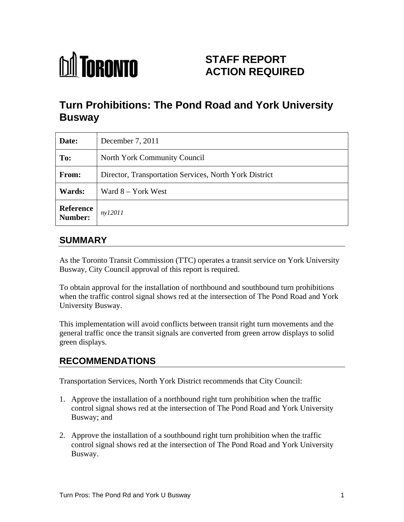

# **STAFF REPORT ACTION REQUIRED**

# **Turn Prohibitions: The Pond Road and York University Busway**

| Date:                 | December 7, 2011                                       |
|-----------------------|--------------------------------------------------------|
| To:                   | North York Community Council                           |
| From:                 | Director, Transportation Services, North York District |
| <b>Wards:</b>         | Ward 8 – York West                                     |
| Reference $n y 12011$ |                                                        |

## **SUMMARY**

As the Toronto Transit Commission (TTC) operates a transit service on York University Busway, City Council approval of this report is required.

To obtain approval for the installation of northbound and southbound turn prohibitions when the traffic control signal shows red at the intersection of The Pond Road and York University Busway.

This implementation will avoid conflicts between transit right turn movements and the general traffic once the transit signals are converted from green arrow displays to solid green displays.

# **RECOMMENDATIONS**

Transportation Services, North York District recommends that City Council:

- 1. Approve the installation of a northbound right turn prohibition when the traffic control signal shows red at the intersection of The Pond Road and York University Busway; and
- 2. Approve the installation of a southbound right turn prohibition when the traffic control signal shows red at the intersection of The Pond Road and York University Busway.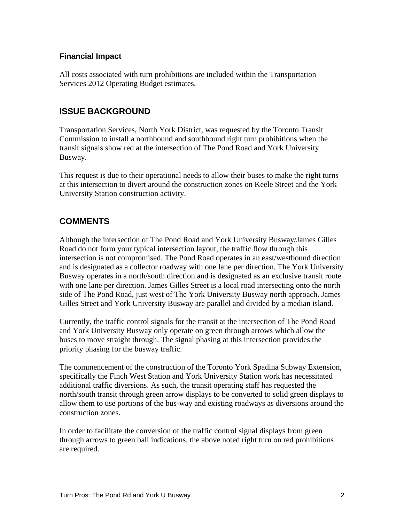#### **Financial Impact**

All costs associated with turn prohibitions are included within the Transportation Services 2012 Operating Budget estimates.

#### **ISSUE BACKGROUND**

Transportation Services, North York District, was requested by the Toronto Transit Commission to install a northbound and southbound right turn prohibitions when the transit signals show red at the intersection of The Pond Road and York University Busway.

This request is due to their operational needs to allow their buses to make the right turns at this intersection to divert around the construction zones on Keele Street and the York University Station construction activity.

#### **COMMENTS**

Although the intersection of The Pond Road and York University Busway/James Gilles Road do not form your typical intersection layout, the traffic flow through this intersection is not compromised. The Pond Road operates in an east/westbound direction and is designated as a collector roadway with one lane per direction. The York University Busway operates in a north/south direction and is designated as an exclusive transit route with one lane per direction. James Gilles Street is a local road intersecting onto the north side of The Pond Road, just west of The York University Busway north approach. James Gilles Street and York University Busway are parallel and divided by a median island.

Currently, the traffic control signals for the transit at the intersection of The Pond Road and York University Busway only operate on green through arrows which allow the buses to move straight through. The signal phasing at this intersection provides the priority phasing for the busway traffic.

The commencement of the construction of the Toronto York Spadina Subway Extension, specifically the Finch West Station and York University Station work has necessitated additional traffic diversions. As such, the transit operating staff has requested the north/south transit through green arrow displays to be converted to solid green displays to allow them to use portions of the bus-way and existing roadways as diversions around the construction zones.

In order to facilitate the conversion of the traffic control signal displays from green through arrows to green ball indications, the above noted right turn on red prohibitions are required.